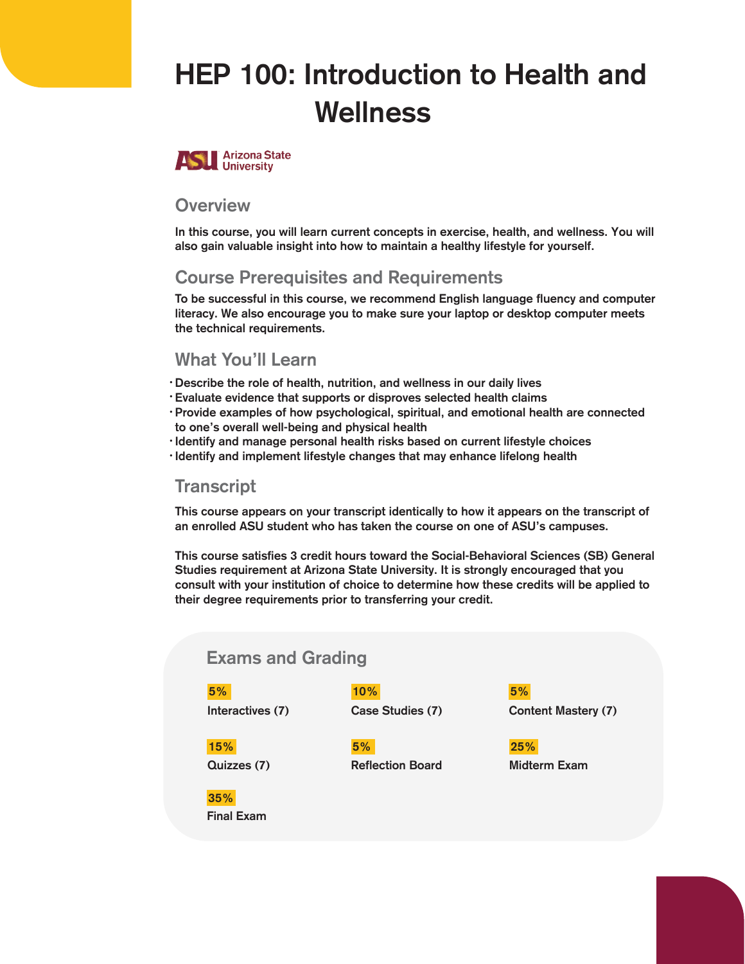# HEP 100: Introduction to Health and Wellness



#### **Overview**

In this course, you will learn current concepts in exercise, health, and wellness. You will also gain valuable insight into how to maintain a healthy lifestyle for yourself.

# Course Prerequisites and Requirements

To be successful in this course, we recommend English language fluency and computer literacy. We also encourage you to make sure your laptop or desktop computer meets the technical requirements.

## What You'll Learn

- Describe the role of health, nutrition, and wellness in our daily lives •
- Evaluate evidence that supports or disproves selected health claims •
- · Provide examples of how psychological, spiritual, and emotional health are connected to one's overall well-being and physical health
- · Identify and manage personal health risks based on current lifestyle choices
- · Identify and implement lifestyle changes that may enhance lifelong health

#### **Transcript**

This course appears on your transcript identically to how it appears on the transcript of an enrolled ASU student who has taken the course on one of ASU's campuses.

This course satisfies 3 credit hours toward the Social-Behavioral Sciences (SB) General Studies requirement at Arizona State University. It is strongly encouraged that you consult with your institution of choice to determine how these credits will be applied to their degree requirements prior to transferring your credit.